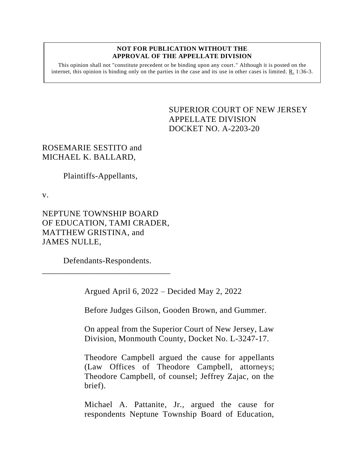## **NOT FOR PUBLICATION WITHOUT THE APPROVAL OF THE APPELLATE DIVISION**

This opinion shall not "constitute precedent or be binding upon any court." Although it is posted on the internet, this opinion is binding only on the parties in the case and its use in other cases is limited.  $R_1$  1:36-3.

> <span id="page-0-0"></span>SUPERIOR COURT OF NEW JERSEY APPELLATE DIVISION DOCKET NO. A-2203-20

ROSEMARIE SESTITO and MICHAEL K. BALLARD,

Plaintiffs-Appellants,

v.

NEPTUNE TOWNSHIP BOARD OF EDUCATION, TAMI CRADER, MATTHEW GRISTINA, and JAMES NULLE,

Defendants-Respondents.

\_\_\_\_\_\_\_\_\_\_\_\_\_\_\_\_\_\_\_\_\_\_\_\_\_\_\_\_\_\_

Argued April 6, 2022 – Decided May 2, 2022

Before Judges Gilson, Gooden Brown, and Gummer.

On appeal from the Superior Court of New Jersey, Law Division, Monmouth County, Docket No. L-3247-17.

Theodore Campbell argued the cause for appellants (Law Offices of Theodore Campbell, attorneys; Theodore Campbell, of counsel; Jeffrey Zajac, on the brief).

Michael A. Pattanite, Jr., argued the cause for respondents Neptune Township Board of Education,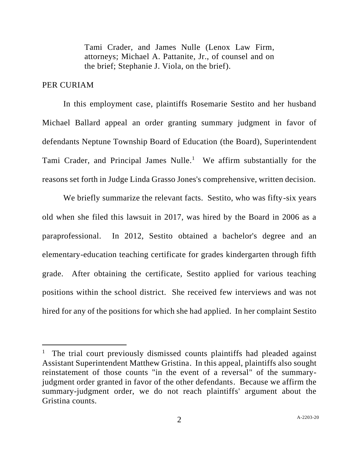Tami Crader, and James Nulle (Lenox Law Firm, attorneys; Michael A. Pattanite, Jr., of counsel and on the brief; Stephanie J. Viola, on the brief).

## PER CURIAM

In this employment case, plaintiffs Rosemarie Sestito and her husband Michael Ballard appeal an order granting summary judgment in favor of defendants Neptune Township Board of Education (the Board), Superintendent Tami Crader, and Principal James Nulle.<sup>1</sup> We affirm substantially for the reasons set forth in Judge Linda Grasso Jones's comprehensive, written decision.

We briefly summarize the relevant facts. Sestito, who was fifty-six years old when she filed this lawsuit in 2017, was hired by the Board in 2006 as a paraprofessional. In 2012, Sestito obtained a bachelor's degree and an elementary-education teaching certificate for grades kindergarten through fifth grade. After obtaining the certificate, Sestito applied for various teaching positions within the school district. She received few interviews and was not hired for any of the positions for which she had applied. In her complaint Sestito

<sup>&</sup>lt;sup>1</sup> The trial court previously dismissed counts plaintiffs had pleaded against Assistant Superintendent Matthew Gristina. In this appeal, plaintiffs also sought reinstatement of those counts "in the event of a reversal" of the summaryjudgment order granted in favor of the other defendants. Because we affirm the summary-judgment order, we do not reach plaintiffs' argument about the Gristina counts.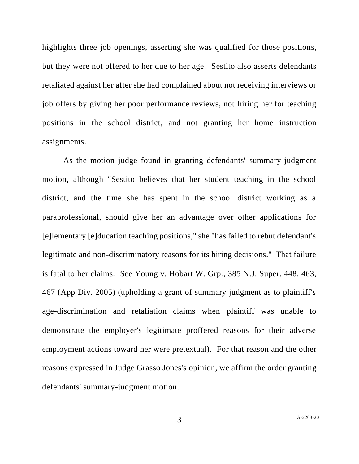highlights three job openings, asserting she was qualified for those positions, but they were not offered to her due to her age. Sestito also asserts defendants retaliated against her after she had complained about not receiving interviews or job offers by giving her poor performance reviews, not hiring her for teaching positions in the school district, and not granting her home instruction assignments.

As the motion judge found in granting defendants' summary-judgment motion, although "Sestito believes that her student teaching in the school district, and the time she has spent in the school district working as a paraprofessional, should give her an advantage over other applications for [e]lementary [e]ducation teaching positions," she "has failed to rebut defendant's legitimate and non-discriminatory reasons for its hiring decisions." That failure is fatal to her claims. See Young v. Hobart W. Grp., 385 N.J. Super. 448, 463, 467 (App Div. 2005) (upholding a grant of summary judgment as to plaintiff's age-discrimination and retaliation claims when plaintiff was unable to demonstrate the employer's legitimate proffered reasons for their adverse employment actions toward her were pretextual). For that reason and the other reasons expressed in Judge Grasso Jones's opinion, we affirm the order granting defendants' summary-judgment motion.

3